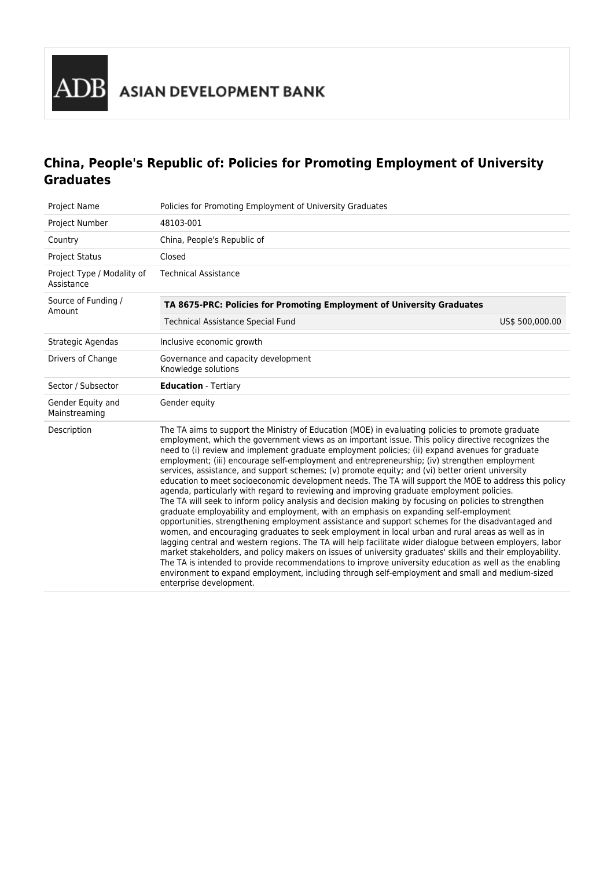# **China, People's Republic of: Policies for Promoting Employment of University Graduates**

| Project Name                             | Policies for Promoting Employment of University Graduates                                                                                                                                                                                                                                                                                                                                                                                                                                                                                                                                                                                                                                                                                                                                                                                                                                                                                                                                                                                                                                                                                                                                                                                                                                                                                                                                                                                                                                                                                                                                   |                 |  |  |
|------------------------------------------|---------------------------------------------------------------------------------------------------------------------------------------------------------------------------------------------------------------------------------------------------------------------------------------------------------------------------------------------------------------------------------------------------------------------------------------------------------------------------------------------------------------------------------------------------------------------------------------------------------------------------------------------------------------------------------------------------------------------------------------------------------------------------------------------------------------------------------------------------------------------------------------------------------------------------------------------------------------------------------------------------------------------------------------------------------------------------------------------------------------------------------------------------------------------------------------------------------------------------------------------------------------------------------------------------------------------------------------------------------------------------------------------------------------------------------------------------------------------------------------------------------------------------------------------------------------------------------------------|-----------------|--|--|
| Project Number                           | 48103-001                                                                                                                                                                                                                                                                                                                                                                                                                                                                                                                                                                                                                                                                                                                                                                                                                                                                                                                                                                                                                                                                                                                                                                                                                                                                                                                                                                                                                                                                                                                                                                                   |                 |  |  |
| Country                                  | China, People's Republic of                                                                                                                                                                                                                                                                                                                                                                                                                                                                                                                                                                                                                                                                                                                                                                                                                                                                                                                                                                                                                                                                                                                                                                                                                                                                                                                                                                                                                                                                                                                                                                 |                 |  |  |
| <b>Project Status</b>                    | Closed                                                                                                                                                                                                                                                                                                                                                                                                                                                                                                                                                                                                                                                                                                                                                                                                                                                                                                                                                                                                                                                                                                                                                                                                                                                                                                                                                                                                                                                                                                                                                                                      |                 |  |  |
| Project Type / Modality of<br>Assistance | <b>Technical Assistance</b>                                                                                                                                                                                                                                                                                                                                                                                                                                                                                                                                                                                                                                                                                                                                                                                                                                                                                                                                                                                                                                                                                                                                                                                                                                                                                                                                                                                                                                                                                                                                                                 |                 |  |  |
| Source of Funding /<br>Amount            | TA 8675-PRC: Policies for Promoting Employment of University Graduates                                                                                                                                                                                                                                                                                                                                                                                                                                                                                                                                                                                                                                                                                                                                                                                                                                                                                                                                                                                                                                                                                                                                                                                                                                                                                                                                                                                                                                                                                                                      |                 |  |  |
|                                          | Technical Assistance Special Fund                                                                                                                                                                                                                                                                                                                                                                                                                                                                                                                                                                                                                                                                                                                                                                                                                                                                                                                                                                                                                                                                                                                                                                                                                                                                                                                                                                                                                                                                                                                                                           | US\$ 500,000.00 |  |  |
| Strategic Agendas                        | Inclusive economic growth                                                                                                                                                                                                                                                                                                                                                                                                                                                                                                                                                                                                                                                                                                                                                                                                                                                                                                                                                                                                                                                                                                                                                                                                                                                                                                                                                                                                                                                                                                                                                                   |                 |  |  |
| Drivers of Change                        | Governance and capacity development<br>Knowledge solutions                                                                                                                                                                                                                                                                                                                                                                                                                                                                                                                                                                                                                                                                                                                                                                                                                                                                                                                                                                                                                                                                                                                                                                                                                                                                                                                                                                                                                                                                                                                                  |                 |  |  |
| Sector / Subsector                       | <b>Education</b> - Tertiary                                                                                                                                                                                                                                                                                                                                                                                                                                                                                                                                                                                                                                                                                                                                                                                                                                                                                                                                                                                                                                                                                                                                                                                                                                                                                                                                                                                                                                                                                                                                                                 |                 |  |  |
| Gender Equity and<br>Mainstreaming       | Gender equity                                                                                                                                                                                                                                                                                                                                                                                                                                                                                                                                                                                                                                                                                                                                                                                                                                                                                                                                                                                                                                                                                                                                                                                                                                                                                                                                                                                                                                                                                                                                                                               |                 |  |  |
| Description                              | The TA aims to support the Ministry of Education (MOE) in evaluating policies to promote graduate<br>employment, which the government views as an important issue. This policy directive recognizes the<br>need to (i) review and implement graduate employment policies; (ii) expand avenues for graduate<br>employment; (iii) encourage self-employment and entrepreneurship; (iv) strengthen employment<br>services, assistance, and support schemes; (v) promote equity; and (vi) better orient university<br>education to meet socioeconomic development needs. The TA will support the MOE to address this policy<br>agenda, particularly with regard to reviewing and improving graduate employment policies.<br>The TA will seek to inform policy analysis and decision making by focusing on policies to strengthen<br>graduate employability and employment, with an emphasis on expanding self-employment<br>opportunities, strengthening employment assistance and support schemes for the disadvantaged and<br>women, and encouraging graduates to seek employment in local urban and rural areas as well as in<br>lagging central and western regions. The TA will help facilitate wider dialogue between employers, labor<br>market stakeholders, and policy makers on issues of university graduates' skills and their employability.<br>The TA is intended to provide recommendations to improve university education as well as the enabling<br>environment to expand employment, including through self-employment and small and medium-sized<br>enterprise development. |                 |  |  |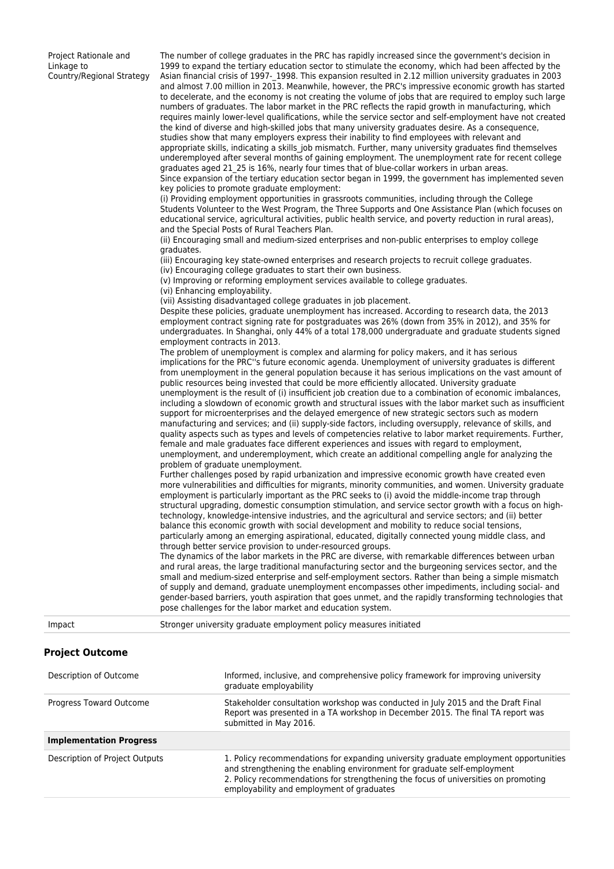Project Rationale and Linkage to Country/Regional Strategy

The number of college graduates in the PRC has rapidly increased since the government's decision in 1999 to expand the tertiary education sector to stimulate the economy, which had been affected by the Asian financial crisis of 1997-1998. This expansion resulted in 2.12 million university graduates in 2003 and almost 7.00 million in 2013. Meanwhile, however, the PRC's impressive economic growth has started to decelerate, and the economy is not creating the volume of jobs that are required to employ such large numbers of graduates. The labor market in the PRC reflects the rapid growth in manufacturing, which requires mainly lower-level qualifications, while the service sector and self-employment have not created the kind of diverse and high-skilled jobs that many university graduates desire. As a consequence, studies show that many employers express their inability to find employees with relevant and appropriate skills, indicating a skills job mismatch. Further, many university graduates find themselves underemployed after several months of gaining employment. The unemployment rate for recent college graduates aged 21\_25 is 16%, nearly four times that of blue-collar workers in urban areas. Since expansion of the tertiary education sector began in 1999, the government has implemented seven key policies to promote graduate employment: (i) Providing employment opportunities in grassroots communities, including through the College Students Volunteer to the West Program, the Three Supports and One Assistance Plan (which focuses on educational service, agricultural activities, public health service, and poverty reduction in rural areas), and the Special Posts of Rural Teachers Plan. (ii) Encouraging small and medium-sized enterprises and non-public enterprises to employ college graduates. (iii) Encouraging key state-owned enterprises and research projects to recruit college graduates. (iv) Encouraging college graduates to start their own business. (v) Improving or reforming employment services available to college graduates. (vi) Enhancing employability. (vii) Assisting disadvantaged college graduates in job placement. Despite these policies, graduate unemployment has increased. According to research data, the 2013 employment contract signing rate for postgraduates was 26% (down from 35% in 2012), and 35% for undergraduates. In Shanghai, only 44% of a total 178,000 undergraduate and graduate students signed employment contracts in 2013. The problem of unemployment is complex and alarming for policy makers, and it has serious implications for the PRC''s future economic agenda. Unemployment of university graduates is different from unemployment in the general population because it has serious implications on the vast amount of public resources being invested that could be more efficiently allocated. University graduate unemployment is the result of (i) insufficient job creation due to a combination of economic imbalances, including a slowdown of economic growth and structural issues with the labor market such as insufficient support for microenterprises and the delayed emergence of new strategic sectors such as modern manufacturing and services; and (ii) supply-side factors, including oversupply, relevance of skills, and quality aspects such as types and levels of competencies relative to labor market requirements. Further, female and male graduates face different experiences and issues with regard to employment, unemployment, and underemployment, which create an additional compelling angle for analyzing the problem of graduate unemployment. Further challenges posed by rapid urbanization and impressive economic growth have created even more vulnerabilities and difficulties for migrants, minority communities, and women. University graduate employment is particularly important as the PRC seeks to (i) avoid the middle-income trap through structural upgrading, domestic consumption stimulation, and service sector growth with a focus on hightechnology, knowledge-intensive industries, and the agricultural and service sectors; and (ii) better balance this economic growth with social development and mobility to reduce social tensions, particularly among an emerging aspirational, educated, digitally connected young middle class, and through better service provision to under-resourced groups. The dynamics of the labor markets in the PRC are diverse, with remarkable differences between urban and rural areas, the large traditional manufacturing sector and the burgeoning services sector, and the small and medium-sized enterprise and self-employment sectors. Rather than being a simple mismatch of supply and demand, graduate unemployment encompasses other impediments, including social- and gender-based barriers, youth aspiration that goes unmet, and the rapidly transforming technologies that pose challenges for the labor market and education system. Impact Stronger university graduate employment policy measures initiated **Project Outcome**

| Description of Outcome         | Informed, inclusive, and comprehensive policy framework for improving university<br>graduate employability                                                                                                                                                                                         |
|--------------------------------|----------------------------------------------------------------------------------------------------------------------------------------------------------------------------------------------------------------------------------------------------------------------------------------------------|
| Progress Toward Outcome        | Stakeholder consultation workshop was conducted in July 2015 and the Draft Final<br>Report was presented in a TA workshop in December 2015. The final TA report was<br>submitted in May 2016.                                                                                                      |
| <b>Implementation Progress</b> |                                                                                                                                                                                                                                                                                                    |
| Description of Project Outputs | 1. Policy recommendations for expanding university graduate employment opportunities<br>and strengthening the enabling environment for graduate self-employment<br>2. Policy recommendations for strengthening the focus of universities on promoting<br>employability and employment of graduates |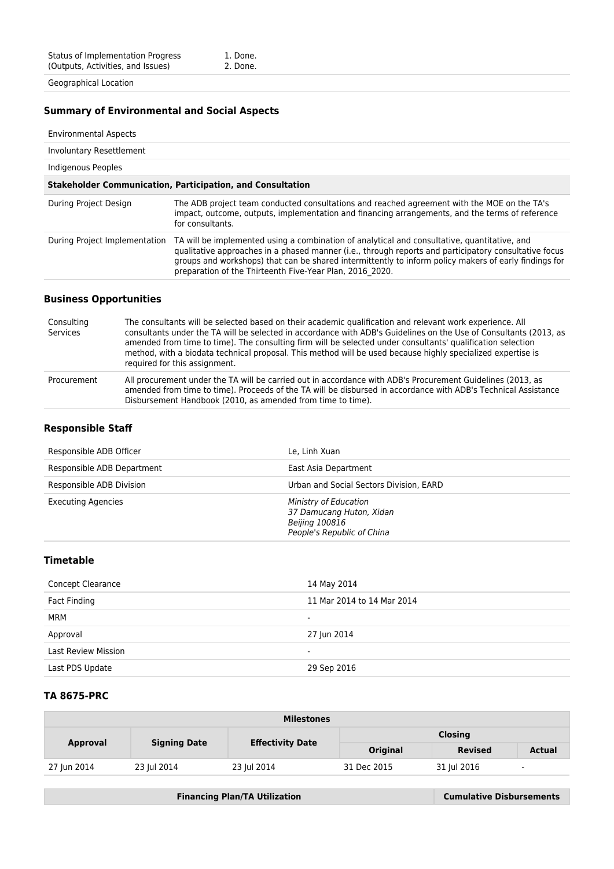Geographical Location

## **Summary of Environmental and Social Aspects**

#### Environmental Aspects

| Involuntary Resettlement                                                                                                                                                                                                                                                                                                                                                   |  |  |  |  |
|----------------------------------------------------------------------------------------------------------------------------------------------------------------------------------------------------------------------------------------------------------------------------------------------------------------------------------------------------------------------------|--|--|--|--|
| Indigenous Peoples                                                                                                                                                                                                                                                                                                                                                         |  |  |  |  |
| <b>Stakeholder Communication, Participation, and Consultation</b>                                                                                                                                                                                                                                                                                                          |  |  |  |  |
| The ADB project team conducted consultations and reached agreement with the MOE on the TA's<br>impact, outcome, outputs, implementation and financing arrangements, and the terms of reference<br>for consultants.                                                                                                                                                         |  |  |  |  |
| TA will be implemented using a combination of analytical and consultative, quantitative, and<br>qualitative approaches in a phased manner (i.e., through reports and participatory consultative focus<br>groups and workshops) that can be shared intermittently to inform policy makers of early findings for<br>preparation of the Thirteenth Five-Year Plan, 2016 2020. |  |  |  |  |
|                                                                                                                                                                                                                                                                                                                                                                            |  |  |  |  |

#### **Business Opportunities**

| Consulting<br>Services | The consultants will be selected based on their academic qualification and relevant work experience. All<br>consultants under the TA will be selected in accordance with ADB's Guidelines on the Use of Consultants (2013, as<br>amended from time to time). The consulting firm will be selected under consultants' qualification selection<br>method, with a biodata technical proposal. This method will be used because highly specialized expertise is<br>required for this assignment. |
|------------------------|----------------------------------------------------------------------------------------------------------------------------------------------------------------------------------------------------------------------------------------------------------------------------------------------------------------------------------------------------------------------------------------------------------------------------------------------------------------------------------------------|
| Procurement            | All procurement under the TA will be carried out in accordance with ADB's Procurement Guidelines (2013, as<br>amended from time to time). Proceeds of the TA will be disbursed in accordance with ADB's Technical Assistance<br>Disbursement Handbook (2010, as amended from time to time).                                                                                                                                                                                                  |

## **Responsible Staff**

| Responsible ADB Officer    | Le. Linh Xuan                                                                                     |
|----------------------------|---------------------------------------------------------------------------------------------------|
| Responsible ADB Department | East Asia Department                                                                              |
| Responsible ADB Division   | Urban and Social Sectors Division, EARD                                                           |
| <b>Executing Agencies</b>  | Ministry of Education<br>37 Damucang Huton, Xidan<br>Beijing 100816<br>People's Republic of China |

### **Timetable**

| <b>Concept Clearance</b>   | 14 May 2014                |
|----------------------------|----------------------------|
| Fact Finding               | 11 Mar 2014 to 14 Mar 2014 |
| MRM                        | $\overline{\phantom{0}}$   |
| Approval                   | 27 Jun 2014                |
| <b>Last Review Mission</b> | $\overline{\phantom{0}}$   |
| Last PDS Update            | 29 Sep 2016                |

## **TA 8675-PRC**

| <b>Milestones</b> |                     |                         |                |                |                          |  |
|-------------------|---------------------|-------------------------|----------------|----------------|--------------------------|--|
| <b>Approval</b>   | <b>Signing Date</b> | <b>Effectivity Date</b> | <b>Closing</b> |                |                          |  |
|                   |                     |                         | Original       | <b>Revised</b> | <b>Actual</b>            |  |
| 27 Jun 2014       | 23 Jul 2014         | 23 Jul 2014             | 31 Dec 2015    | 31 Jul 2016    | $\overline{\phantom{a}}$ |  |